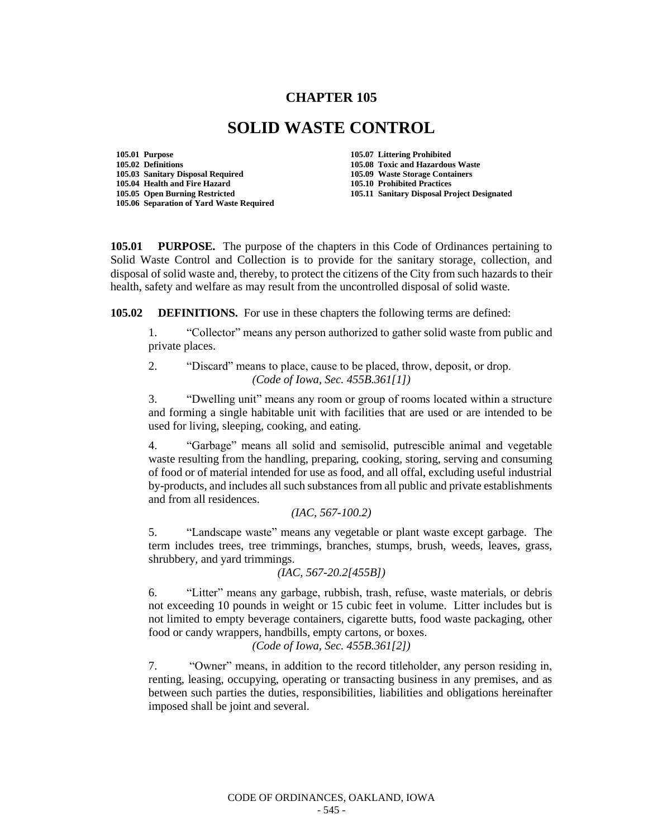## **CHAPTER 105**

## **SOLID WASTE CONTROL**

**105.01 Purpose 105.07 Littering Prohibited 105.02 Definitions 105.08 Toxic and Hazardous Waste 105.03 Sanitary Disposal Required 105.04 Health and Fire Hazard 105.10 Prohibited Practices 105.06 Separation of Yard Waste Required**

**105.11 Sanitary Disposal Project Designated** 

**105.01 PURPOSE.** The purpose of the chapters in this Code of Ordinances pertaining to Solid Waste Control and Collection is to provide for the sanitary storage, collection, and disposal of solid waste and, thereby, to protect the citizens of the City from such hazards to their health, safety and welfare as may result from the uncontrolled disposal of solid waste.

**105.02 DEFINITIONS.** For use in these chapters the following terms are defined:

1. "Collector" means any person authorized to gather solid waste from public and private places.

2. "Discard" means to place, cause to be placed, throw, deposit, or drop. *(Code of Iowa, Sec. 455B.361[1])*

3. "Dwelling unit" means any room or group of rooms located within a structure and forming a single habitable unit with facilities that are used or are intended to be used for living, sleeping, cooking, and eating.

4. "Garbage" means all solid and semisolid, putrescible animal and vegetable waste resulting from the handling, preparing, cooking, storing, serving and consuming of food or of material intended for use as food, and all offal, excluding useful industrial by-products, and includes all such substances from all public and private establishments and from all residences.

*(IAC, 567-100.2)*

5. "Landscape waste" means any vegetable or plant waste except garbage. The term includes trees, tree trimmings, branches, stumps, brush, weeds, leaves, grass, shrubbery, and yard trimmings.

*(IAC, 567-20.2[455B])*

6. "Litter" means any garbage, rubbish, trash, refuse, waste materials, or debris not exceeding 10 pounds in weight or 15 cubic feet in volume. Litter includes but is not limited to empty beverage containers, cigarette butts, food waste packaging, other food or candy wrappers, handbills, empty cartons, or boxes.

*(Code of Iowa, Sec. 455B.361[2])*

7. "Owner" means, in addition to the record titleholder, any person residing in, renting, leasing, occupying, operating or transacting business in any premises, and as between such parties the duties, responsibilities, liabilities and obligations hereinafter imposed shall be joint and several.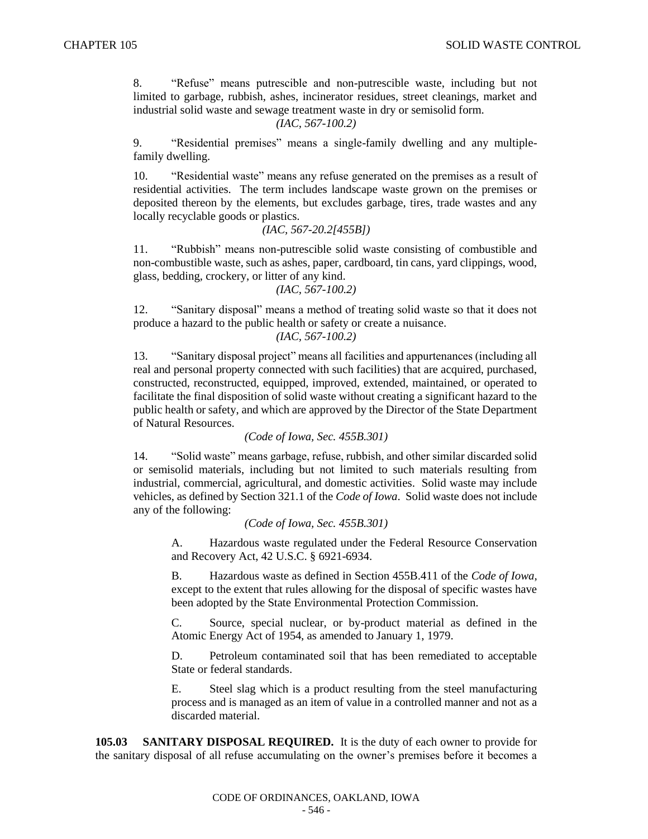8. "Refuse" means putrescible and non-putrescible waste, including but not limited to garbage, rubbish, ashes, incinerator residues, street cleanings, market and industrial solid waste and sewage treatment waste in dry or semisolid form.

*(IAC, 567-100.2)*

9. "Residential premises" means a single-family dwelling and any multiplefamily dwelling.

10. "Residential waste" means any refuse generated on the premises as a result of residential activities. The term includes landscape waste grown on the premises or deposited thereon by the elements, but excludes garbage, tires, trade wastes and any locally recyclable goods or plastics.

*(IAC, 567-20.2[455B])*

11. "Rubbish" means non-putrescible solid waste consisting of combustible and non-combustible waste, such as ashes, paper, cardboard, tin cans, yard clippings, wood, glass, bedding, crockery, or litter of any kind.

*(IAC, 567-100.2)*

12. "Sanitary disposal" means a method of treating solid waste so that it does not produce a hazard to the public health or safety or create a nuisance.

*(IAC, 567-100.2)*

13. "Sanitary disposal project" means all facilities and appurtenances (including all real and personal property connected with such facilities) that are acquired, purchased, constructed, reconstructed, equipped, improved, extended, maintained, or operated to facilitate the final disposition of solid waste without creating a significant hazard to the public health or safety, and which are approved by the Director of the State Department of Natural Resources.

*(Code of Iowa, Sec. 455B.301)* 

14. "Solid waste" means garbage, refuse, rubbish, and other similar discarded solid or semisolid materials, including but not limited to such materials resulting from industrial, commercial, agricultural, and domestic activities. Solid waste may include vehicles, as defined by Section 321.1 of the *Code of Iowa*. Solid waste does not include any of the following:

*(Code of Iowa, Sec. 455B.301)*

A. Hazardous waste regulated under the Federal Resource Conservation and Recovery Act, 42 U.S.C. § 6921-6934.

B. Hazardous waste as defined in Section 455B.411 of the *Code of Iowa*, except to the extent that rules allowing for the disposal of specific wastes have been adopted by the State Environmental Protection Commission.

C. Source, special nuclear, or by-product material as defined in the Atomic Energy Act of 1954, as amended to January 1, 1979.

D. Petroleum contaminated soil that has been remediated to acceptable State or federal standards.

E. Steel slag which is a product resulting from the steel manufacturing process and is managed as an item of value in a controlled manner and not as a discarded material.

**105.03 SANITARY DISPOSAL REQUIRED.** It is the duty of each owner to provide for the sanitary disposal of all refuse accumulating on the owner's premises before it becomes a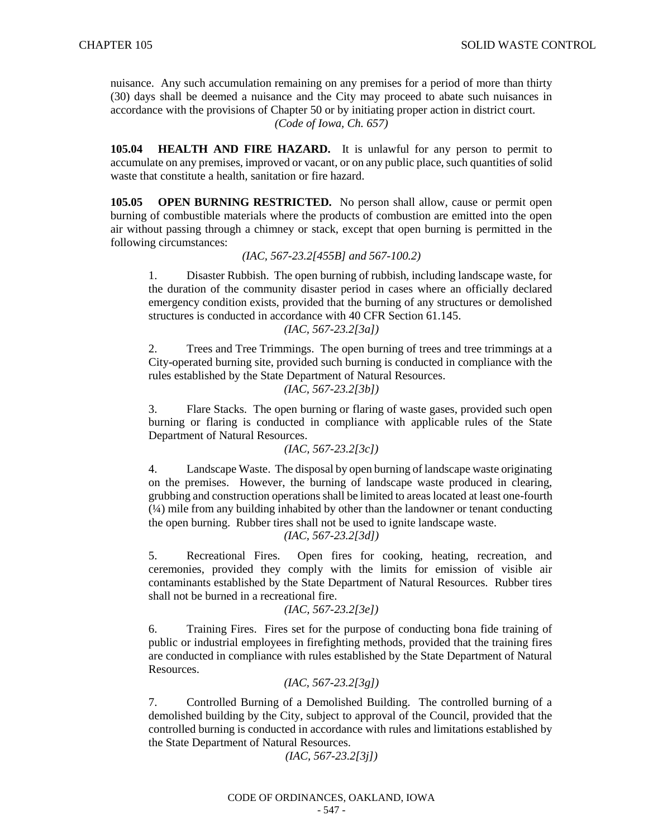nuisance. Any such accumulation remaining on any premises for a period of more than thirty (30) days shall be deemed a nuisance and the City may proceed to abate such nuisances in accordance with the provisions of Chapter 50 or by initiating proper action in district court. *(Code of Iowa, Ch. 657)* 

**105.04 HEALTH AND FIRE HAZARD.** It is unlawful for any person to permit to accumulate on any premises, improved or vacant, or on any public place, such quantities of solid waste that constitute a health, sanitation or fire hazard.

**105.05 OPEN BURNING RESTRICTED.** No person shall allow, cause or permit open burning of combustible materials where the products of combustion are emitted into the open air without passing through a chimney or stack, except that open burning is permitted in the following circumstances:

*(IAC, 567-23.2[455B] and 567-100.2)*

1. Disaster Rubbish. The open burning of rubbish, including landscape waste, for the duration of the community disaster period in cases where an officially declared emergency condition exists, provided that the burning of any structures or demolished structures is conducted in accordance with 40 CFR Section 61.145.

*(IAC, 567-23.2[3a])*

2. Trees and Tree Trimmings. The open burning of trees and tree trimmings at a City-operated burning site, provided such burning is conducted in compliance with the rules established by the State Department of Natural Resources.

*(IAC, 567-23.2[3b])*

3. Flare Stacks. The open burning or flaring of waste gases, provided such open burning or flaring is conducted in compliance with applicable rules of the State Department of Natural Resources.

*(IAC, 567-23.2[3c])*

4. Landscape Waste. The disposal by open burning of landscape waste originating on the premises. However, the burning of landscape waste produced in clearing, grubbing and construction operations shall be limited to areas located at least one-fourth (¼) mile from any building inhabited by other than the landowner or tenant conducting the open burning. Rubber tires shall not be used to ignite landscape waste. *(IAC, 567-23.2[3d])*

5. Recreational Fires. Open fires for cooking, heating, recreation, and ceremonies, provided they comply with the limits for emission of visible air contaminants established by the State Department of Natural Resources. Rubber tires shall not be burned in a recreational fire.

*(IAC, 567-23.2[3e])*

6. Training Fires. Fires set for the purpose of conducting bona fide training of public or industrial employees in firefighting methods, provided that the training fires are conducted in compliance with rules established by the State Department of Natural Resources.

*(IAC, 567-23.2[3g])*

7. Controlled Burning of a Demolished Building. The controlled burning of a demolished building by the City, subject to approval of the Council, provided that the controlled burning is conducted in accordance with rules and limitations established by the State Department of Natural Resources.

*(IAC, 567-23.2[3j])*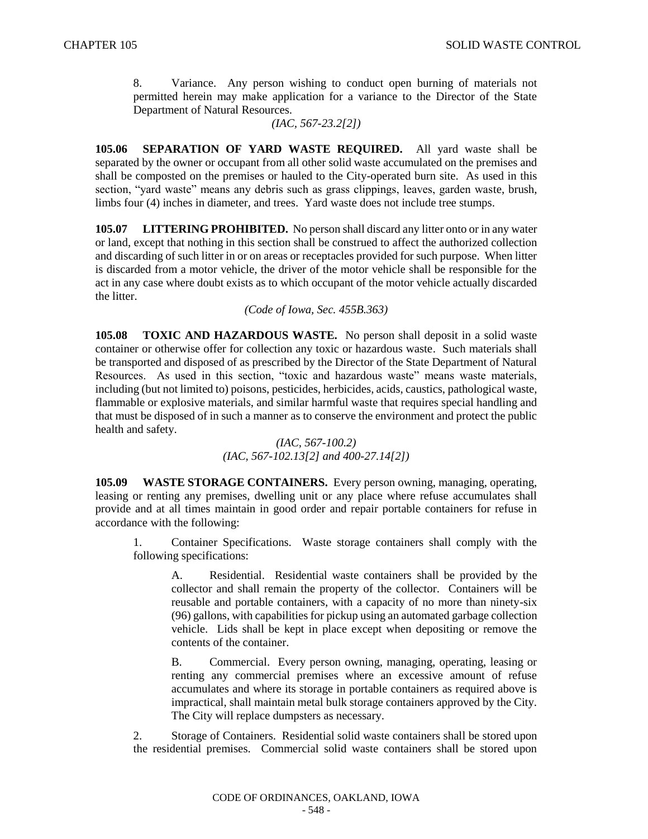8. Variance. Any person wishing to conduct open burning of materials not permitted herein may make application for a variance to the Director of the State Department of Natural Resources.

## *(IAC, 567-23.2[2])*

**105.06 SEPARATION OF YARD WASTE REQUIRED.** All yard waste shall be separated by the owner or occupant from all other solid waste accumulated on the premises and shall be composted on the premises or hauled to the City-operated burn site. As used in this section, "yard waste" means any debris such as grass clippings, leaves, garden waste, brush, limbs four (4) inches in diameter, and trees. Yard waste does not include tree stumps.

**105.07 LITTERING PROHIBITED.** No person shall discard any litter onto or in any water or land, except that nothing in this section shall be construed to affect the authorized collection and discarding of such litter in or on areas or receptacles provided for such purpose. When litter is discarded from a motor vehicle, the driver of the motor vehicle shall be responsible for the act in any case where doubt exists as to which occupant of the motor vehicle actually discarded the litter.

*(Code of Iowa, Sec. 455B.363)*

**105.08 TOXIC AND HAZARDOUS WASTE.** No person shall deposit in a solid waste container or otherwise offer for collection any toxic or hazardous waste. Such materials shall be transported and disposed of as prescribed by the Director of the State Department of Natural Resources. As used in this section, "toxic and hazardous waste" means waste materials, including (but not limited to) poisons, pesticides, herbicides, acids, caustics, pathological waste, flammable or explosive materials, and similar harmful waste that requires special handling and that must be disposed of in such a manner as to conserve the environment and protect the public health and safety.

> *(IAC, 567-100.2) (IAC, 567-102.13[2] and 400-27.14[2])*

**105.09 WASTE STORAGE CONTAINERS.** Every person owning, managing, operating, leasing or renting any premises, dwelling unit or any place where refuse accumulates shall provide and at all times maintain in good order and repair portable containers for refuse in accordance with the following:

1. Container Specifications. Waste storage containers shall comply with the following specifications:

> A. Residential. Residential waste containers shall be provided by the collector and shall remain the property of the collector. Containers will be reusable and portable containers, with a capacity of no more than ninety-six (96) gallons, with capabilities for pickup using an automated garbage collection vehicle. Lids shall be kept in place except when depositing or remove the contents of the container.

> B. Commercial. Every person owning, managing, operating, leasing or renting any commercial premises where an excessive amount of refuse accumulates and where its storage in portable containers as required above is impractical, shall maintain metal bulk storage containers approved by the City. The City will replace dumpsters as necessary.

2. Storage of Containers. Residential solid waste containers shall be stored upon the residential premises. Commercial solid waste containers shall be stored upon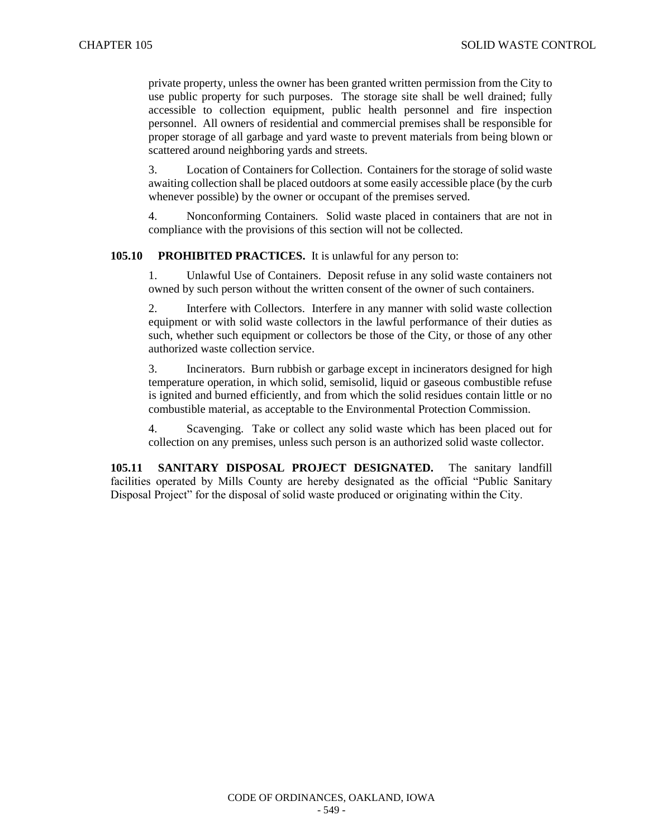private property, unless the owner has been granted written permission from the City to use public property for such purposes. The storage site shall be well drained; fully accessible to collection equipment, public health personnel and fire inspection personnel. All owners of residential and commercial premises shall be responsible for proper storage of all garbage and yard waste to prevent materials from being blown or scattered around neighboring yards and streets.

3. Location of Containers for Collection. Containers for the storage of solid waste awaiting collection shall be placed outdoors at some easily accessible place (by the curb whenever possible) by the owner or occupant of the premises served.

4. Nonconforming Containers. Solid waste placed in containers that are not in compliance with the provisions of this section will not be collected.

## **105.10 PROHIBITED PRACTICES.** It is unlawful for any person to:

1. Unlawful Use of Containers. Deposit refuse in any solid waste containers not owned by such person without the written consent of the owner of such containers.

2. Interfere with Collectors. Interfere in any manner with solid waste collection equipment or with solid waste collectors in the lawful performance of their duties as such, whether such equipment or collectors be those of the City, or those of any other authorized waste collection service.

3. Incinerators. Burn rubbish or garbage except in incinerators designed for high temperature operation, in which solid, semisolid, liquid or gaseous combustible refuse is ignited and burned efficiently, and from which the solid residues contain little or no combustible material, as acceptable to the Environmental Protection Commission.

4. Scavenging. Take or collect any solid waste which has been placed out for collection on any premises, unless such person is an authorized solid waste collector.

**105.11 SANITARY DISPOSAL PROJECT DESIGNATED.** The sanitary landfill facilities operated by Mills County are hereby designated as the official "Public Sanitary Disposal Project" for the disposal of solid waste produced or originating within the City.